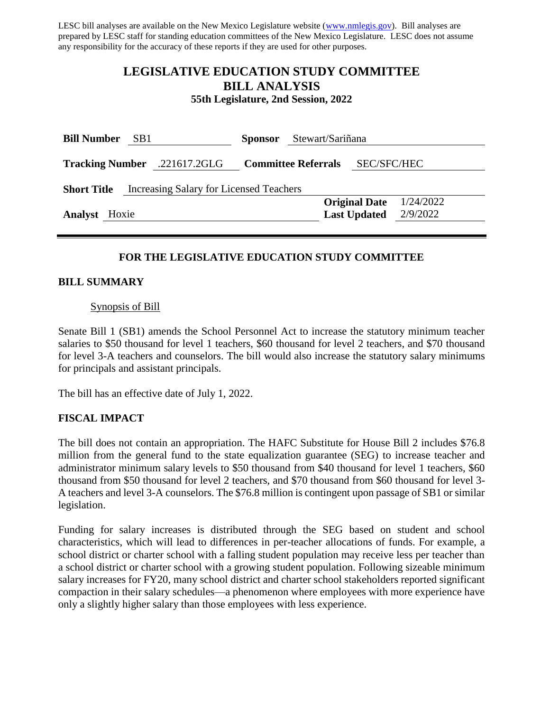LESC bill analyses are available on the New Mexico Legislature website [\(www.nmlegis.gov\)](http://www.nmlegis.gov/). Bill analyses are prepared by LESC staff for standing education committees of the New Mexico Legislature. LESC does not assume any responsibility for the accuracy of these reports if they are used for other purposes.

# **LEGISLATIVE EDUCATION STUDY COMMITTEE BILL ANALYSIS**

**55th Legislature, 2nd Session, 2022**

| <b>Bill Number</b>                                            | SB <sub>1</sub> |                              | <b>Sponsor</b> | Stewart/Sariñana           |                      |                                |  |  |
|---------------------------------------------------------------|-----------------|------------------------------|----------------|----------------------------|----------------------|--------------------------------|--|--|
|                                                               |                 | Tracking Number .221617.2GLG |                | <b>Committee Referrals</b> | SEC/SFC/HEC          |                                |  |  |
| Increasing Salary for Licensed Teachers<br><b>Short Title</b> |                 |                              |                |                            |                      |                                |  |  |
|                                                               |                 |                              |                |                            | <b>Original Date</b> | 1/24/2022                      |  |  |
| <b>Analyst</b> Hoxie                                          |                 |                              |                |                            |                      | <b>Last Updated</b> $2/9/2022$ |  |  |
|                                                               |                 |                              |                |                            |                      |                                |  |  |

# **FOR THE LEGISLATIVE EDUCATION STUDY COMMITTEE**

### **BILL SUMMARY**

#### Synopsis of Bill

Senate Bill 1 (SB1) amends the School Personnel Act to increase the statutory minimum teacher salaries to \$50 thousand for level 1 teachers, \$60 thousand for level 2 teachers, and \$70 thousand for level 3-A teachers and counselors. The bill would also increase the statutory salary minimums for principals and assistant principals.

The bill has an effective date of July 1, 2022.

# **FISCAL IMPACT**

The bill does not contain an appropriation. The HAFC Substitute for House Bill 2 includes \$76.8 million from the general fund to the state equalization guarantee (SEG) to increase teacher and administrator minimum salary levels to \$50 thousand from \$40 thousand for level 1 teachers, \$60 thousand from \$50 thousand for level 2 teachers, and \$70 thousand from \$60 thousand for level 3- A teachers and level 3-A counselors. The \$76.8 million is contingent upon passage of SB1 or similar legislation.

Funding for salary increases is distributed through the SEG based on student and school characteristics, which will lead to differences in per-teacher allocations of funds. For example, a school district or charter school with a falling student population may receive less per teacher than a school district or charter school with a growing student population. Following sizeable minimum salary increases for FY20, many school district and charter school stakeholders reported significant compaction in their salary schedules—a phenomenon where employees with more experience have only a slightly higher salary than those employees with less experience.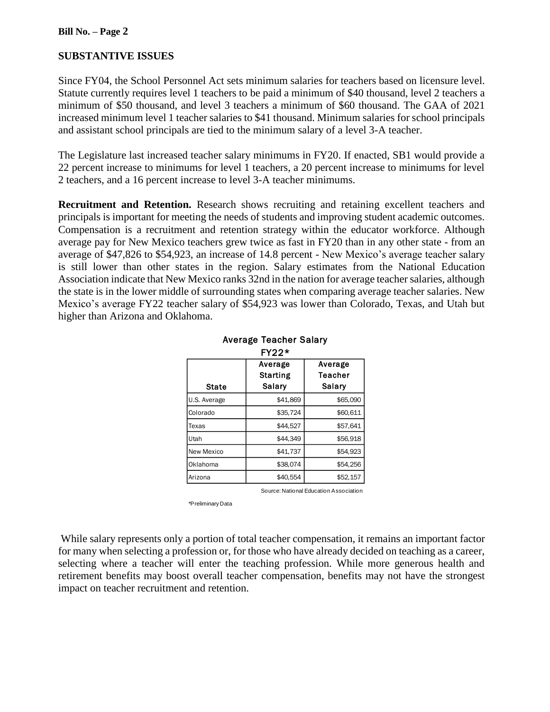### **Bill No. – Page 2**

# **SUBSTANTIVE ISSUES**

Since FY04, the School Personnel Act sets minimum salaries for teachers based on licensure level. Statute currently requires level 1 teachers to be paid a minimum of \$40 thousand, level 2 teachers a minimum of \$50 thousand, and level 3 teachers a minimum of \$60 thousand. The GAA of 2021 increased minimum level 1 teacher salaries to \$41 thousand. Minimum salaries for school principals and assistant school principals are tied to the minimum salary of a level 3-A teacher.

The Legislature last increased teacher salary minimums in FY20. If enacted, SB1 would provide a 22 percent increase to minimums for level 1 teachers, a 20 percent increase to minimums for level 2 teachers, and a 16 percent increase to level 3-A teacher minimums.

**Recruitment and Retention.** Research shows recruiting and retaining excellent teachers and principals is important for meeting the needs of students and improving student academic outcomes. Compensation is a recruitment and retention strategy within the educator workforce. Although average pay for New Mexico teachers grew twice as fast in FY20 than in any other state - from an average of \$47,826 to \$54,923, an increase of 14.8 percent - New Mexico's average teacher salary is still lower than other states in the region. Salary estimates from the National Education Association indicate that New Mexico ranks 32nd in the nation for average teacher salaries, although the state is in the lower middle of surrounding states when comparing average teacher salaries. New Mexico's average FY22 teacher salary of \$54,923 was lower than Colorado, Texas, and Utah but higher than Arizona and Oklahoma.

| $FY22*$      |          |          |  |  |  |  |
|--------------|----------|----------|--|--|--|--|
|              | Average  | Average  |  |  |  |  |
|              | Starting | Teacher  |  |  |  |  |
| <b>State</b> | Salary   | Salary   |  |  |  |  |
| U.S. Average | \$41,869 | \$65,090 |  |  |  |  |
| Colorado     | \$35,724 | \$60,611 |  |  |  |  |
| Texas        | \$44,527 | \$57,641 |  |  |  |  |
| Utah         | \$44,349 | \$56,918 |  |  |  |  |
| New Mexico   | \$41,737 | \$54.923 |  |  |  |  |
| Oklahoma     | \$38,074 | \$54.256 |  |  |  |  |
| Arizona      | \$40,554 | \$52,157 |  |  |  |  |

# Average Teacher Salary

Source: National Education Association

\*Preliminary Data

While salary represents only a portion of total teacher compensation, it remains an important factor for many when selecting a profession or, for those who have already decided on teaching as a career, selecting where a teacher will enter the teaching profession. While more generous health and retirement benefits may boost overall teacher compensation, benefits may not have the strongest impact on teacher recruitment and retention.